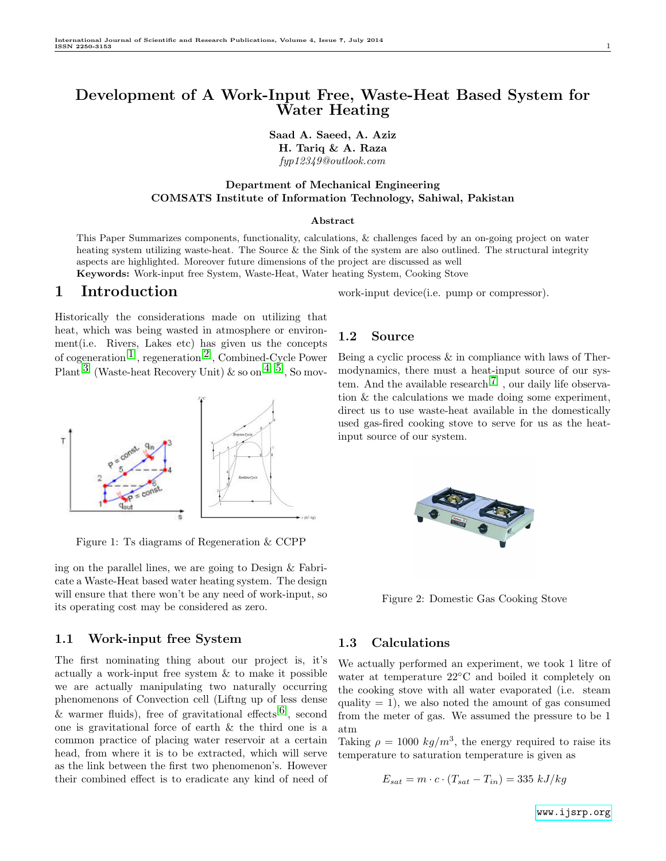## Development of A Work-Input Free, Waste-Heat Based System for Water Heating

Saad A. Saeed, A. Aziz H. Tariq & A. Raza fyp12349@outlook.com

### Department of Mechanical Engineering COMSATS Institute of Information Technology, Sahiwal, Pakistan

#### Abstract

This Paper Summarizes components, functionality, calculations, & challenges faced by an on-going project on water heating system utilizing waste-heat. The Source & the Sink of the system are also outlined. The structural integrity aspects are highlighted. Moreover future dimensions of the project are discussed as well

Keywords: Work-input free System, Waste-Heat, Water heating System, Cooking Stove

## 1 Introduction

Historically the considerations made on utilizing that heat, which was being wasted in atmosphere or environment(i.e. Rivers, Lakes etc) has given us the concepts of cogeneration<sup>[[1](#page-4-0)]</sup>, regeneration<sup>[[2](#page-4-1)]</sup>, Combined-Cycle Power Plant<sup>[[3](#page-4-2)]</sup> (Waste-heat Recovery Unit) & so on<sup>[[4](#page-4-3), [5](#page-4-4)]</sup>, So mov-



Figure 1: Ts diagrams of Regeneration & CCPP

ing on the parallel lines, we are going to Design & Fabricate a Waste-Heat based water heating system. The design will ensure that there won't be any need of work-input, so its operating cost may be considered as zero.

### 1.1 Work-input free System

The first nominating thing about our project is, it's actually a work-input free system  $\&$  to make it possible we are actually manipulating two naturally occurring phenomenons of Convection cell (Liftng up of less dense & warmer fluids), free of gravitational effects<sup>[[6](#page-4-5)]</sup>, second one is gravitational force of earth & the third one is a common practice of placing water reservoir at a certain head, from where it is to be extracted, which will serve as the link between the first two phenomenon's. However their combined effect is to eradicate any kind of need of

work-input device(i.e. pump or compressor).

### 1.2 Source

Being a cyclic process & in compliance with laws of Thermodynamics, there must a heat-input source of our sys-tem. And the available research<sup>[[7](#page-4-6)]</sup>, our daily life observation & the calculations we made doing some experiment, direct us to use waste-heat available in the domestically used gas-fired cooking stove to serve for us as the heatinput source of our system.



Figure 2: Domestic Gas Cooking Stove

### 1.3 Calculations

We actually performed an experiment, we took 1 litre of water at temperature 22◦C and boiled it completely on the cooking stove with all water evaporated (i.e. steam quality  $= 1$ , we also noted the amount of gas consumed from the meter of gas. We assumed the pressure to be 1 atm

Taking  $\rho = 1000 \ kg/m^3$ , the energy required to raise its temperature to saturation temperature is given as

$$
E_{sat} = m \cdot c \cdot (T_{sat} - T_{in}) = 335 \; kJ/kg
$$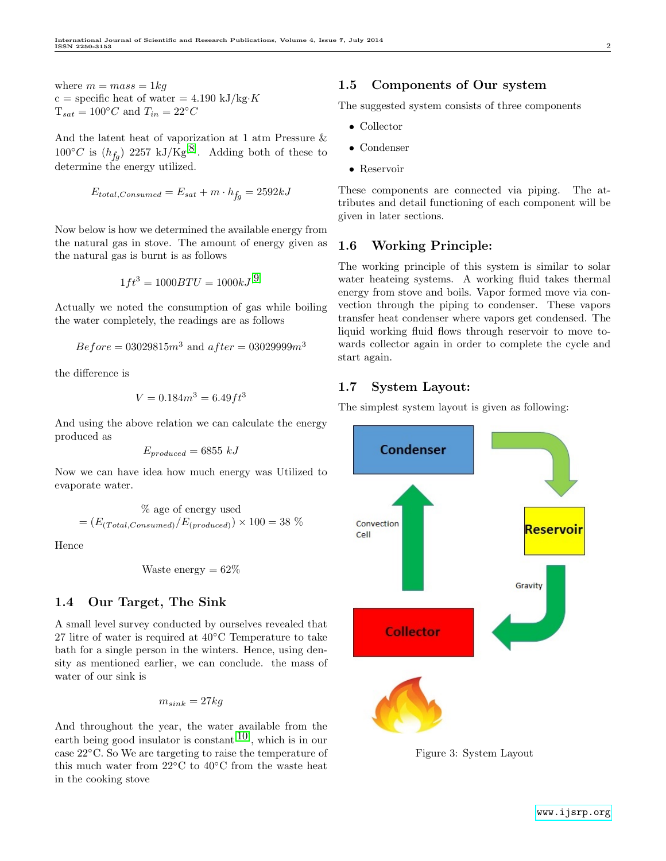where  $m = mass = 1kq$ c = specific heat of water =  $4.190 \text{ kJ/kg} \cdot K$  $T_{sat} = 100\degree C$  and  $T_{in} = 22\degree C$ 

And the latent heat of vaporization at 1 atm Pressure &  $100^{\circ}C$  is  $(h_{fg})$  2257 kJ/Kg<sup>[[8](#page-4-7)]</sup>. Adding both of these to determine the energy utilized.

$$
E_{total,Consumed} = E_{sat} + m \cdot h_{fg} = 2592 kJ
$$

Now below is how we determined the available energy from the natural gas in stove. The amount of energy given as the natural gas is burnt is as follows

$$
1ft^3 = 1000BTU = 1000kJ^{[9]}
$$

Actually we noted the consumption of gas while boiling the water completely, the readings are as follows

$$
Before = 03029815m^3
$$
 and  $after = 03029999m^3$ 

the difference is

$$
V = 0.184m^3 = 6.49ft^3
$$

And using the above relation we can calculate the energy produced as

$$
E_{produced} = 6855 kJ
$$

Now we can have idea how much energy was Utilized to evaporate water.

$$
\%
$$
age of energy used  
=  $(E_{(Total,Consumed)}/E_{(produced)}) \times 100 = 38$  %

Hence

Waste energy = 
$$
62\%
$$

#### 1.4 Our Target, The Sink

A small level survey conducted by ourselves revealed that 27 litre of water is required at 40◦C Temperature to take bath for a single person in the winters. Hence, using density as mentioned earlier, we can conclude. the mass of water of our sink is

$$
m_{sink} = 27kg
$$

And throughout the year, the water available from the earth being good insulator is constant<sup>[[10](#page-4-9)]</sup>, which is in our case 22◦C. So We are targeting to raise the temperature of this much water from  $22^{\circ}$ C to  $40^{\circ}$ C from the waste heat in the cooking stove

#### 1.5 Components of Our system

The suggested system consists of three components

- Collector
- Condenser
- Reservoir

These components are connected via piping. The attributes and detail functioning of each component will be given in later sections.

### 1.6 Working Principle:

The working principle of this system is similar to solar water heateing systems. A working fluid takes thermal energy from stove and boils. Vapor formed move via convection through the piping to condenser. These vapors transfer heat condenser where vapors get condensed. The liquid working fluid flows through reservoir to move towards collector again in order to complete the cycle and start again.

### 1.7 System Layout:

The simplest system layout is given as following:



Figure 3: System Layout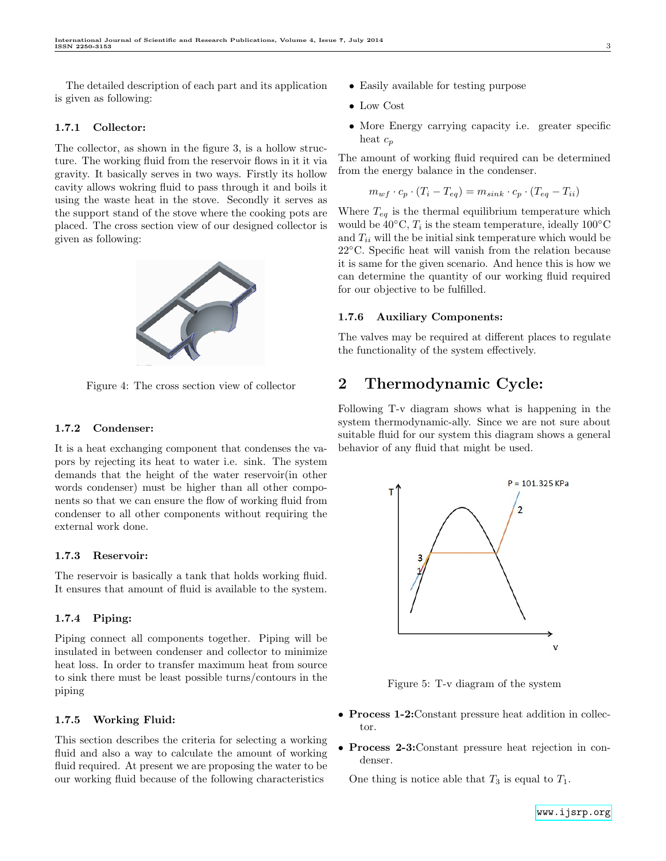The detailed description of each part and its application is given as following:

#### 1.7.1 Collector:

The collector, as shown in the figure 3, is a hollow structure. The working fluid from the reservoir flows in it it via gravity. It basically serves in two ways. Firstly its hollow cavity allows wokring fluid to pass through it and boils it using the waste heat in the stove. Secondly it serves as the support stand of the stove where the cooking pots are placed. The cross section view of our designed collector is given as following:



Figure 4: The cross section view of collector

#### 1.7.2 Condenser:

It is a heat exchanging component that condenses the vapors by rejecting its heat to water i.e. sink. The system demands that the height of the water reservoir(in other words condenser) must be higher than all other components so that we can ensure the flow of working fluid from condenser to all other components without requiring the external work done.

#### 1.7.3 Reservoir:

The reservoir is basically a tank that holds working fluid. It ensures that amount of fluid is available to the system.

#### 1.7.4 Piping:

Piping connect all components together. Piping will be insulated in between condenser and collector to minimize heat loss. In order to transfer maximum heat from source to sink there must be least possible turns/contours in the piping

#### 1.7.5 Working Fluid:

This section describes the criteria for selecting a working fluid and also a way to calculate the amount of working fluid required. At present we are proposing the water to be our working fluid because of the following characteristics

- Easily available for testing purpose
- Low Cost
- More Energy carrying capacity i.e. greater specific heat  $c_p$

The amount of working fluid required can be determined from the energy balance in the condenser.

$$
m_{wf} \cdot c_p \cdot (T_i - T_{eq}) = m_{sink} \cdot c_p \cdot (T_{eq} - T_{ii})
$$

Where  $T_{eq}$  is the thermal equilibrium temperature which would be  $40^{\circ}\text{C}$ ,  $T_i$  is the steam temperature, ideally  $100^{\circ}\text{C}$ and  $T_{ii}$  will the be initial sink temperature which would be 22◦C. Specific heat will vanish from the relation because it is same for the given scenario. And hence this is how we can determine the quantity of our working fluid required for our objective to be fulfilled.

#### 1.7.6 Auxiliary Components:

The valves may be required at different places to regulate the functionality of the system effectively.

## 2 Thermodynamic Cycle:

Following T-v diagram shows what is happening in the system thermodynamic-ally. Since we are not sure about suitable fluid for our system this diagram shows a general behavior of any fluid that might be used.



Figure 5: T-v diagram of the system

- **Process 1-2:** Constant pressure heat addition in collector.
- Process 2-3:Constant pressure heat rejection in condenser.

One thing is notice able that  $T_3$  is equal to  $T_1$ .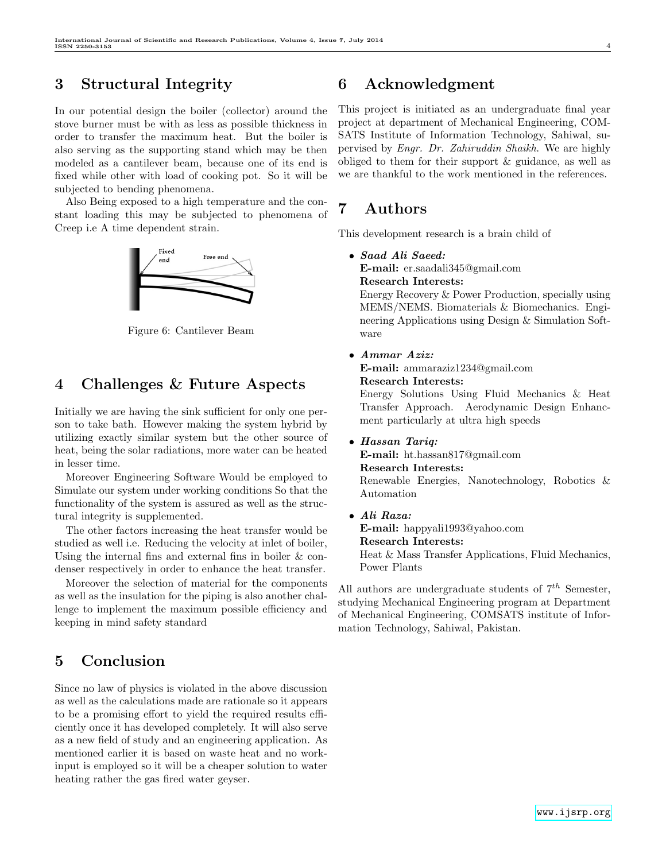# 3 Structural Integrity

In our potential design the boiler (collector) around the stove burner must be with as less as possible thickness in order to transfer the maximum heat. But the boiler is also serving as the supporting stand which may be then modeled as a cantilever beam, because one of its end is fixed while other with load of cooking pot. So it will be subjected to bending phenomena.

Also Being exposed to a high temperature and the constant loading this may be subjected to phenomena of Creep i.e A time dependent strain.



Figure 6: Cantilever Beam

## 4 Challenges & Future Aspects

Initially we are having the sink sufficient for only one person to take bath. However making the system hybrid by utilizing exactly similar system but the other source of heat, being the solar radiations, more water can be heated in lesser time.

Moreover Engineering Software Would be employed to Simulate our system under working conditions So that the functionality of the system is assured as well as the structural integrity is supplemented.

The other factors increasing the heat transfer would be studied as well i.e. Reducing the velocity at inlet of boiler, Using the internal fins and external fins in boiler & condenser respectively in order to enhance the heat transfer.

Moreover the selection of material for the components as well as the insulation for the piping is also another challenge to implement the maximum possible efficiency and keeping in mind safety standard

## 5 Conclusion

Since no law of physics is violated in the above discussion as well as the calculations made are rationale so it appears to be a promising effort to yield the required results efficiently once it has developed completely. It will also serve as a new field of study and an engineering application. As mentioned earlier it is based on waste heat and no workinput is employed so it will be a cheaper solution to water heating rather the gas fired water geyser.

## 6 Acknowledgment

This project is initiated as an undergraduate final year project at department of Mechanical Engineering, COM-SATS Institute of Information Technology, Sahiwal, supervised by Engr. Dr. Zahiruddin Shaikh. We are highly obliged to them for their support & guidance, as well as we are thankful to the work mentioned in the references.

# 7 Authors

This development research is a brain child of

• Saad Ali Saeed:

E-mail: er.saadali345@gmail.com

Research Interests:

Energy Recovery & Power Production, specially using MEMS/NEMS. Biomaterials & Biomechanics. Engineering Applications using Design & Simulation Software

• Ammar Aziz:

E-mail: ammaraziz1234@gmail.com Research Interests:

Energy Solutions Using Fluid Mechanics & Heat Transfer Approach. Aerodynamic Design Enhancment particularly at ultra high speeds

• Hassan Tariq:

E-mail: ht.hassan817@gmail.com

#### Research Interests:

Renewable Energies, Nanotechnology, Robotics & Automation

• Ali Raza:

E-mail: happyali1993@yahoo.com Research Interests: Heat & Mass Transfer Applications, Fluid Mechanics, Power Plants

All authors are undergraduate students of  $7<sup>th</sup>$  Semester, studying Mechanical Engineering program at Department of Mechanical Engineering, COMSATS institute of Information Technology, Sahiwal, Pakistan.